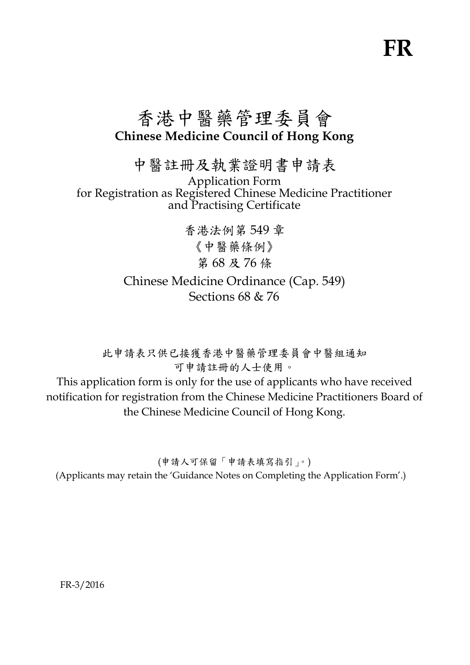# **FR**

# 香港中醫藥管理委員會 **Chinese Medicine Council of Hong Kong**

中醫註冊及執業證明書申請表

Application Form for Registration as Registered Chinese Medicine Practitioner and Practising Certificate

> 香港法例第 549 章 《中醫藥條例》 第 68 及 76 條 Chinese Medicine Ordinance (Cap. 549) Sections 68 & 76

此申請表只供已接獲香港中醫藥管理委員會中醫組通知 可申請註冊的人士使用。

This application form is only for the use of applicants who have received notification for registration from the Chinese Medicine Practitioners Board of the Chinese Medicine Council of Hong Kong.

(申請人可保留「申請表填寫指引」。) (Applicants may retain the 'Guidance Notes on Completing the Application Form'.)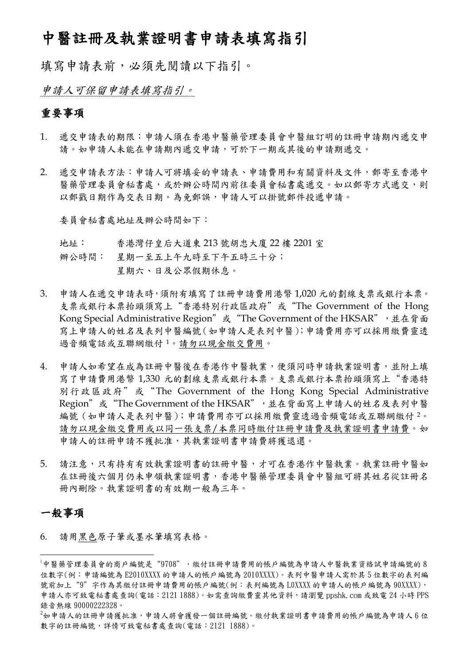# 中醫註冊及執業證明書申請表填寫指引

填寫申請表前,必須先閱讀以下指引。

申請人可保留申請表填寫指引。

# 重要事項

- 1. 遞交申請表的期限:申請人須在香港中醫藥管理委員會中醫組訂明的註冊申請期內遞交申 請。如申請人未能在申請期內遞交申請,可於下一期或其後的申請期遞交。
- 2. 遞交申請表方法:申請人可將填妥的申請表、申請費用和有關資料及文件,郵寄至香港中 醫藥管理委員會秘書處,或於辦公時間內前往委員會秘書處遞交。如以郵寄方式遞交,則 以郵戳日期作為交表日期。為免郵誤,申請人可以掛號郵件投遞申請。

委員會秘書處地址及辦公時間如下:

- 地址: 香港灣仔皇后大道東 213 號胡忠大廈 22 樓 2201 室
- 辦公時間: 星期一至五上午九時至下午五時三十分; 星期六、日及公眾假期休息。
- 3. 申請人在遞交申請表時,須附有填寫了註冊申請費用港幣 1,020 元的劃線支票或銀行本票。 支票或銀行本票抬頭須寫上"香港特別行政區政府"或"The Government of the Hong Kong Special Administrative Region"或 "The Government of the HKSAR", 並在背面 寫上申請人的姓名及表列中醫編號(如申請人是表列中醫);申請費用亦可以採用繳費靈透 過音頻電話或互聯網繳付 [1](#page-1-0)。請勿以現金繳交費用。
- 4. 申請人如希望在成為註冊中醫後在香港作中醫執業,便須同時申請執業證明書,並附上填 寫了申請費用港幣 1,330 元的劃線支票或銀行本票。支票或銀行本票抬頭須寫上"香港特 別行政區政府"或"The Government of the Hong Kong Special Administrative Region"或 "The Government of the HKSAR",並在背面寫上申請人的姓名及表列中醫 編號(如申請人是表列中醫);申請費用亦可以採用繳費靈透過音頻電話或互聯網繳付[2](#page-1-1)。 請勿以現金繳交費用或以同一張支票/本票同時繳付註冊申請費及執業證明書申請費。如 申請人的註冊申請不獲批准,其執業證明書申請費將獲退還。
- 5. 請注意,只有持有有效執業證明書的註冊中醫,才可在香港作中醫執業。執業註冊中醫如 在註冊後六個月仍未申領執業證明書,香港中醫藥管理委員會中醫組可將其姓名從註冊名 冊內刪除。執業證明書的有效期一般為三年。

# 一般事項

<u>.</u>

6. 請用黑色原子筆或墨水筆填寫表格。

<span id="page-1-1"></span> $^{2}$ 如申請人的註冊申請獲批准,申請人將會獲發一個註冊編號。繳付執業證明書申請費用的帳戶編號為申請人 6 位 數字的註冊編號,詳情可致電秘書處查詢(電話:2121 1888)。

<span id="page-1-0"></span><sup>&</sup>lt;sup>1</sup>中醫藥管理委員會的商戶編號是"9708", 缴付註冊申請費用的帳戶編號為申請人中醫執業資格試申請編號的 8 位數字(例:申請編號為 E2010XXXX 的申請人的帳戶編號為 2010XXXX)。表列中醫申請人需於其 5 位數字的表列編 號前加上"9"字作為其繳付註冊申請費用的帳戶編號(例:表列編號為 LOXXXX 的申請人的帳戶編號為 90XXXX), 申請人亦可致電秘書處查詢(電話:2121 1888)。如需查詢繳費靈其他資料,請瀏覽 ppshk.com 或致電 24 小時 PPS 錄音熱線 90000222328。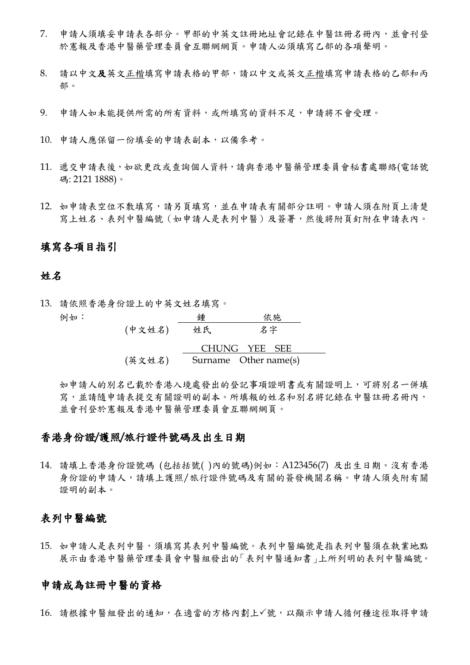- 7. 申請人須填妥申請表各部分。甲部的中英文註冊地址會記錄在中醫註冊名冊內,並會刊登 於憲報及香港中醫藥管理委員會互聯網網頁。申請人必須填寫乙部的各項聲明。
- 8. 請以中文及英文正楷填寫申請表格的甲部,請以中文或英文正楷填寫申請表格的乙部和丙 部。
- 9. 申請人如未能提供所需的所有資料,或所填寫的資料不足,申請將不會受理。
- 10. 申請人應保留一份填妥的申請表副本,以備參考。
- 11. 遞交申請表後,如欲更改或查詢個人資料,請與香港中醫藥管理委員會秘書處聯絡(電話號 碼: 2121 1888)。
- 12. 如申請表空位不敷填寫,請另頁填寫,並在申請表有關部分註明。申請人須在附頁上清楚 寫上姓名、表列中醫編號(如申請人是表列中醫)及簽署,然後將附頁釘附在申請表內。

#### 填寫各項目指引

#### 姓名

13. 請依照香港身份證上的中英文姓名填寫。 例如: 鍾 依施 (中文姓名) 姓氏 名字

|        | CHUNG YEE SEE         |  |  |
|--------|-----------------------|--|--|
| (英文姓名) | Surname Other name(s) |  |  |

如申請人的別名已載於香港入境處發出的登記事項證明書或有關證明上,可將別名一併填 寫,並請隨申請表提交有關證明的副本。所填報的姓名和別名將記錄在中醫註冊名冊內, 並會刊登於憲報及香港中醫藥管理委員會互聯網網頁。

#### 香港身份證**/**護照**/**旅行證件號碼及出生日期

14. 請填上香港身份證號碼 (包括括號( )內的號碼)例如:A123456(7) 及出生日期。沒有香港 身份證的申請人,請填上護照/旅行證件號碼及有關的簽發機關名稱。申請人須夾附有關 證明的副本。

#### 表列中醫編號

15. 如申請人是表列中醫,須填寫其表列中醫編號。表列中醫編號是指表列中醫須在執業地點 展示由香港中醫藥管理委員會中醫組發出的「表列中醫通知書」上所列明的表列中醫編號。

#### 申請成為註冊中醫的資格

16. 請根據中醫組發出的通知,在適當的方格內劃上√號,以顯示申請人循何種途徑取得申請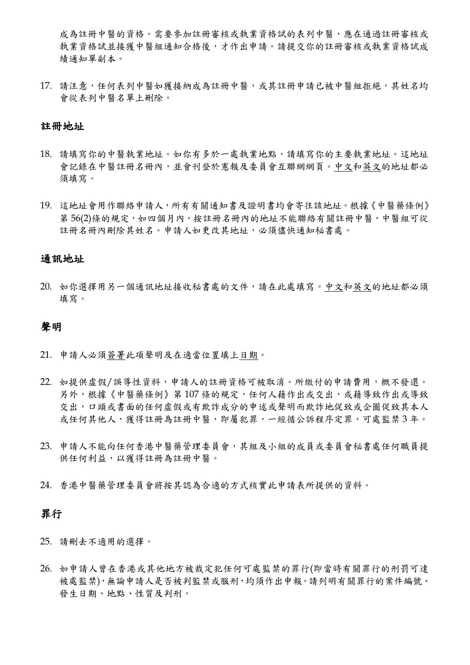成為註冊中醫的資格。需要參加註冊審核或執業資格試的表列中醫,應在通過註冊審核或 執業資格試並接獲中醫組通知合格後,才作出申請。請提交你的註冊審核或執業資格試成 績通知單副本。

17. 請注意,任何表列中醫如獲接納成為註冊中醫,或其註冊申請已被中醫組拒絕,其姓名均 會從表列中醫名單上刪除。

#### 註冊地址

- 18. 請填寫你的中醫執業地址。如你有多於一處執業地點,請填寫你的主要執業地址。這地址 會記錄在中醫註冊名冊內,並會刊登於憲報及委員會互聯網網頁。中文和英文的地址都必 須填寫。
- 19. 這地址會用作聯絡申請人,所有有關通知書及證明書均會寄往該地址。根據《中醫藥條例》 第 56(2)條的規定,如四個月內,按註冊名冊內的地址不能聯絡有關註冊中醫,中醫組可從 註冊名冊內刪除其姓名。申請人如更改其地址,必須儘快通知秘書處。

#### 通訊地址

20. 如你選擇用另一個通訊地址接收秘書處的文件,請在此處填寫。中文和英文的地址都必須 填寫。

#### 聲明

- 21. 申請人必須簽署此項聲明及在適當位置填上日期。
- 22. 如提供虛假/誤導性資料,申請人的註冊資格可被取消。所繳付的申請費用,概不發還。 另外,根據《中醫藥條例》第107條的規定,任何人藉作出或交出,或藉導致作出或導致 交出,口頭或書面的任何虛假或有欺詐成分的申述或聲明而欺詐地促致或企圖促致其本人 或任何其他人,獲得註冊為註冊中醫,即屬犯罪,一經循公訴程序定罪,可處監禁3年。
- 23. 申請人不能向任何香港中醫藥管理委員會,其組及小組的成員或委員會秘書處任何職員提 供任何利益,以獲得註冊為註冊中醫。
- 24. 香港中醫藥管理委員會將按其認為合適的方式核實此申請表所提供的資料。

#### 罪行

- 25. 請刪去不適用的選擇。
- 26. 如申請人曾在香港或其他地方被裁定犯任何可處監禁的罪行(即當時有關罪行的刑罰可達 被處監禁),無論申請人是否被判監禁或服刑,均須作出申報。請列明有關罪行的案件編號、 發生日期、地點、性質及判刑。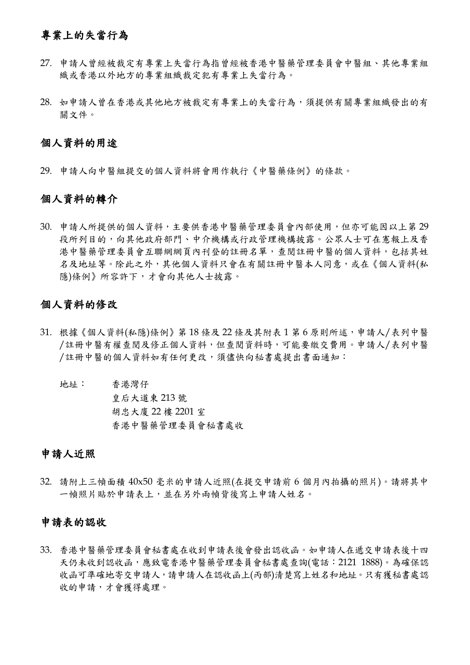# 專業上的失當行為

- 27. 申請人曾經被裁定有專業上失當行為指曾經被香港中醫藥管理委員會中醫組、其他專業組 織或香港以外地方的專業組織裁定犯有專業上失當行為。
- 28. 如申請人曾在香港或其他地方被裁定有專業上的失當行為,須提供有關專業組織發出的有 關文件。

#### 個人資料的用途

29. 申請人向中醫組提交的個人資料將會用作執行《中醫藥條例》的條款。

#### 個人資料的轉介

30. 申請人所提供的個人資料,主要供香港中醫藥管理委員會內部使用,但亦可能因以上第 29 段所列目的,向其他政府部門、中介機構或行政管理機構披露。公眾人士可在憲報上及香 港中醫藥管理委員會互聯網網頁內刊登的註冊名單,查閱註冊中醫的個人資料,包括其姓 名及地址等。除此之外,其他個人資料只會在有關註冊中醫本人同意,或在《個人資料(私 隱)條例》所容許下,才會向其他人士披露。

#### 個人資料的修改

- 31. 根據《個人資料(私隱)條例》第18條及22條及其附表1第6原則所述,申請人/表列中醫 /註冊中醫有權查閱及修正個人資料,但查閱資料時,可能要繳交費用。申請人/表列中醫 /註冊中醫的個人資料如有任何更改,須儘快向秘書處提出書面通知:
	- 地址: 香港灣仔 皇后大道東 213 號 胡忠大廈 22 樓 2201 室 香港中醫藥管理委員會秘書處收

# 申請人近照

32. 請附上三幀面積 40x50 毫米的申請人近照(在提交申請前 6 個月內拍攝的照片)。請將其中 一幀照片貼於申請表上,並在另外兩幀背後寫上申請人姓名。

#### 申請表的認收

33. 香港中醫藥管理委員會秘書處在收到申請表後會發出認收函。如申請人在遞交申請表後十四 天仍未收到認收函,應致電香港中醫藥管理委員會秘書處查詢(電話:2121 1888)。為確保認 收函可準確地寄交申請人,請申請人在認收函上(丙部)清楚寫上姓名和地址。只有獲秘書處認 收的申請,才會獲得處理。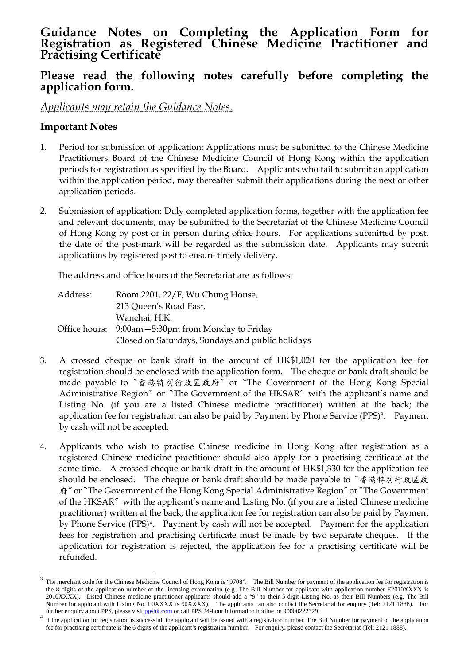# **Guidance Notes on Completing the Application Form for Registration as Registered Chinese Medicine Practitioner and Practising Certificate**

# **Please read the following notes carefully before completing the application form.**

## *Applicants may retain the Guidance Notes.*

### **Important Notes**

<u>.</u>

- 1. Period for submission of application: Applications must be submitted to the Chinese Medicine Practitioners Board of the Chinese Medicine Council of Hong Kong within the application periods for registration as specified by the Board. Applicants who fail to submit an application within the application period, may thereafter submit their applications during the next or other application periods.
- 2. Submission of application: Duly completed application forms, together with the application fee and relevant documents, may be submitted to the Secretariat of the Chinese Medicine Council of Hong Kong by post or in person during office hours. For applications submitted by post, the date of the post-mark will be regarded as the submission date. Applicants may submit applications by registered post to ensure timely delivery.

The address and office hours of the Secretariat are as follows:

| Address: | Room 2201, 22/F, Wu Chung House,                    |
|----------|-----------------------------------------------------|
|          | 213 Queen's Road East,                              |
|          | Wanchai, H.K.                                       |
|          | Office hours: 9:00am - 5:30pm from Monday to Friday |
|          | Closed on Saturdays, Sundays and public holidays    |

- 3. A crossed cheque or bank draft in the amount of HK\$1,020 for the application fee for registration should be enclosed with the application form. The cheque or bank draft should be made payable to〝香港特別行政區政府〞or〝The Government of the Hong Kong Special Administrative Region<sup>"</sup> or "The Government of the HKSAR" with the applicant's name and Listing No. (if you are a listed Chinese medicine practitioner) written at the back; the application fee for registration can also be paid by Payment by Phone Service (PPS)<sup>[3](#page-5-0)</sup>. Payment by cash will not be accepted.
- 4. Applicants who wish to practise Chinese medicine in Hong Kong after registration as a registered Chinese medicine practitioner should also apply for a practising certificate at the same time. A crossed cheque or bank draft in the amount of HK\$1,330 for the application fee should be enclosed. The cheque or bank draft should be made payable to〝香港特別行政區政 府<sup>″</sup> or 〝The Government of the Hong Kong Special Administrative Region<sup>″</sup> or 〝The Government of the HKSAR〞with the applicant's name and Listing No. (if you are a listed Chinese medicine practitioner) written at the back; the application fee for registration can also be paid by Payment by Phone Service (PPS)[4](#page-5-1). Payment by cash will not be accepted. Payment for the application fees for registration and practising certificate must be made by two separate cheques. If the application for registration is rejected, the application fee for a practising certificate will be refunded.

<span id="page-5-0"></span><sup>&</sup>lt;sup>3</sup> The merchant code for the Chinese Medicine Council of Hong Kong is "9708". The Bill Number for payment of the application fee for registration is the 8 digits of the application number of the licensing examination (e.g. The Bill Number for applicant with application number E2010XXXX is 2010XXXX). Listed Chinese medicine practitioner applicants should add a "9" to their 5-digit Listing No. as their Bill Numbers (e.g. The Bill Number for applicant with Listing No. L0XXXX is 90XXXX). The applicants can also contact the Secretariat for enquiry (Tel: 2121 1888). For further enquiry about PPS, please visit ppshk.com or call PPS 24-hour information h

<span id="page-5-1"></span><sup>&</sup>lt;sup>4</sup> If the application for registration is successful, the applicant will be issued with a registration number. The Bill Number for payment of the application fee for practising certificate is the 6 digits of the applicant's registration number. For enquiry, please contact the Secretariat (Tel: 2121 1888).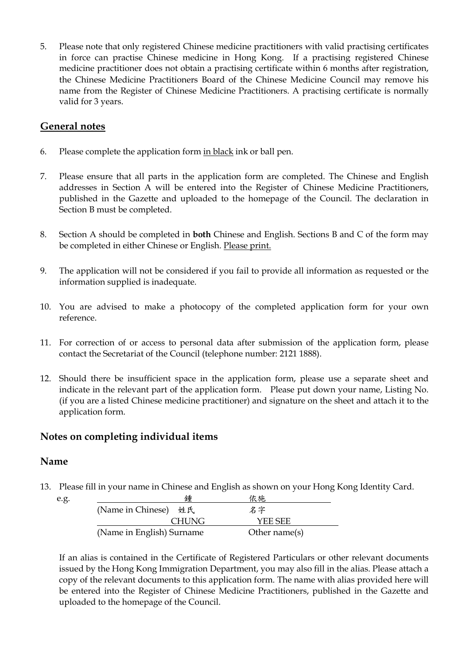5. Please note that only registered Chinese medicine practitioners with valid practising certificates in force can practise Chinese medicine in Hong Kong. If a practising registered Chinese medicine practitioner does not obtain a practising certificate within 6 months after registration, the Chinese Medicine Practitioners Board of the Chinese Medicine Council may remove his name from the Register of Chinese Medicine Practitioners. A practising certificate is normally valid for 3 years.

## **General notes**

- 6. Please complete the application form in black ink or ball pen.
- 7. Please ensure that all parts in the application form are completed. The Chinese and English addresses in Section A will be entered into the Register of Chinese Medicine Practitioners, published in the Gazette and uploaded to the homepage of the Council. The declaration in Section B must be completed.
- 8. Section A should be completed in **both** Chinese and English. Sections B and C of the form may be completed in either Chinese or English. Please print.
- 9. The application will not be considered if you fail to provide all information as requested or the information supplied is inadequate.
- 10. You are advised to make a photocopy of the completed application form for your own reference.
- 11. For correction of or access to personal data after submission of the application form, please contact the Secretariat of the Council (telephone number: 2121 1888).
- 12. Should there be insufficient space in the application form, please use a separate sheet and indicate in the relevant part of the application form. Please put down your name, Listing No. (if you are a listed Chinese medicine practitioner) and signature on the sheet and attach it to the application form.

#### **Notes on completing individual items**

#### **Name**

13. Please fill in your name in Chinese and English as shown on your Hong Kong Identity Card.

| e.g. | 鍾                         | 依施               |  |
|------|---------------------------|------------------|--|
|      | (Name in Chinese) 姓氏      | 名字               |  |
|      | <b>CHUNG</b>              | YEE SEE          |  |
|      | (Name in English) Surname | Other name $(s)$ |  |

If an alias is contained in the Certificate of Registered Particulars or other relevant documents issued by the Hong Kong Immigration Department, you may also fill in the alias. Please attach a copy of the relevant documents to this application form. The name with alias provided here will be entered into the Register of Chinese Medicine Practitioners, published in the Gazette and uploaded to the homepage of the Council.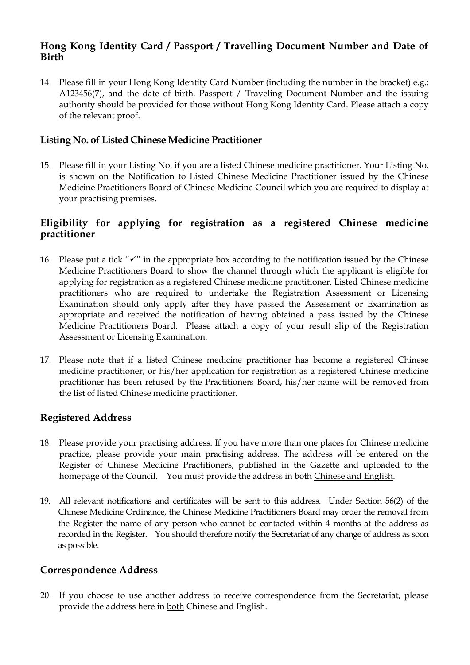# **Hong Kong Identity Card / Passport / Travelling Document Number and Date of Birth**

14. Please fill in your Hong Kong Identity Card Number (including the number in the bracket) e.g.: A123456(7), and the date of birth. Passport / Traveling Document Number and the issuing authority should be provided for those without Hong Kong Identity Card. Please attach a copy of the relevant proof.

### **Listing No. of Listed Chinese Medicine Practitioner**

15. Please fill in your Listing No. if you are a listed Chinese medicine practitioner. Your Listing No. is shown on the Notification to Listed Chinese Medicine Practitioner issued by the Chinese Medicine Practitioners Board of Chinese Medicine Council which you are required to display at your practising premises.

### **Eligibility for applying for registration as a registered Chinese medicine practitioner**

- 16. Please put a tick " $\checkmark$ " in the appropriate box according to the notification issued by the Chinese Medicine Practitioners Board to show the channel through which the applicant is eligible for applying for registration as a registered Chinese medicine practitioner. Listed Chinese medicine practitioners who are required to undertake the Registration Assessment or Licensing Examination should only apply after they have passed the Assessment or Examination as appropriate and received the notification of having obtained a pass issued by the Chinese Medicine Practitioners Board. Please attach a copy of your result slip of the Registration Assessment or Licensing Examination.
- 17. Please note that if a listed Chinese medicine practitioner has become a registered Chinese medicine practitioner, or his/her application for registration as a registered Chinese medicine practitioner has been refused by the Practitioners Board, his/her name will be removed from the list of listed Chinese medicine practitioner.

# **Registered Address**

- 18. Please provide your practising address. If you have more than one places for Chinese medicine practice, please provide your main practising address. The address will be entered on the Register of Chinese Medicine Practitioners, published in the Gazette and uploaded to the homepage of the Council. You must provide the address in both Chinese and English.
- 19. All relevant notifications and certificates will be sent to this address. Under Section 56(2) of the Chinese Medicine Ordinance, the Chinese Medicine Practitioners Board may order the removal from the Register the name of any person who cannot be contacted within 4 months at the address as recorded in the Register. You should therefore notify the Secretariat of any change of address as soon as possible.

### **Correspondence Address**

20. If you choose to use another address to receive correspondence from the Secretariat, please provide the address here in both Chinese and English.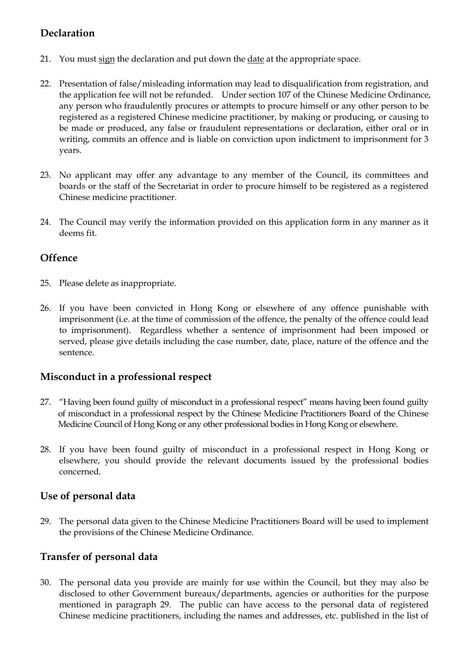# **Declaration**

- 21. You must sign the declaration and put down the date at the appropriate space.
- 22. Presentation of false/misleading information may lead to disqualification from registration, and the application fee will not be refunded. Under section 107 of the Chinese Medicine Ordinance, any person who fraudulently procures or attempts to procure himself or any other person to be registered as a registered Chinese medicine practitioner, by making or producing, or causing to be made or produced, any false or fraudulent representations or declaration, either oral or in writing, commits an offence and is liable on conviction upon indictment to imprisonment for 3 years.
- 23. No applicant may offer any advantage to any member of the Council, its committees and boards or the staff of the Secretariat in order to procure himself to be registered as a registered Chinese medicine practitioner.
- 24. The Council may verify the information provided on this application form in any manner as it deems fit.

# **Offence**

- 25. Please delete as inappropriate.
- 26. If you have been convicted in Hong Kong or elsewhere of any offence punishable with imprisonment (i.e. at the time of commission of the offence, the penalty of the offence could lead to imprisonment). Regardless whether a sentence of imprisonment had been imposed or served, please give details including the case number, date, place, nature of the offence and the sentence.

### **Misconduct in a professional respect**

- 27. "Having been found guilty of misconduct in a professional respect" means having been found guilty of misconduct in a professional respect by the Chinese Medicine Practitioners Board of the Chinese Medicine Council of Hong Kong or any other professional bodies in Hong Kong or elsewhere.
- 28. If you have been found guilty of misconduct in a professional respect in Hong Kong or elsewhere, you should provide the relevant documents issued by the professional bodies concerned.

### **Use of personal data**

29. The personal data given to the Chinese Medicine Practitioners Board will be used to implement the provisions of the Chinese Medicine Ordinance.

### **Transfer of personal data**

30. The personal data you provide are mainly for use within the Council, but they may also be disclosed to other Government bureaux/departments, agencies or authorities for the purpose mentioned in paragraph 29. The public can have access to the personal data of registered Chinese medicine practitioners, including the names and addresses, etc. published in the list of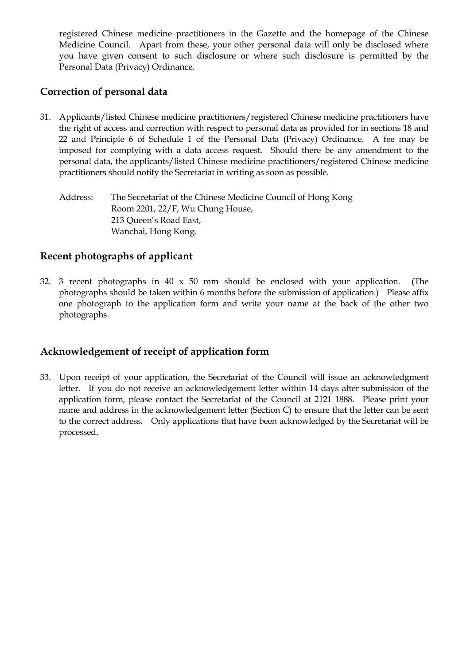registered Chinese medicine practitioners in the Gazette and the homepage of the Chinese Medicine Council. Apart from these, your other personal data will only be disclosed where you have given consent to such disclosure or where such disclosure is permitted by the Personal Data (Privacy) Ordinance.

# **Correction of personal data**

31. Applicants/listed Chinese medicine practitioners/registered Chinese medicine practitioners have the right of access and correction with respect to personal data as provided for in sections 18 and 22 and Principle 6 of Schedule 1 of the Personal Data (Privacy) Ordinance. A fee may be imposed for complying with a data access request. Should there be any amendment to the personal data, the applicants/listed Chinese medicine practitioners/registered Chinese medicine practitioners should notify the Secretariat in writing as soon as possible.

Address: The Secretariat of the Chinese Medicine Council of Hong Kong Room 2201, 22/F, Wu Chung House, 213 Queen's Road East, Wanchai, Hong Kong.

### **Recent photographs of applicant**

32. 3 recent photographs in 40 x 50 mm should be enclosed with your application. (The photographs should be taken within 6 months before the submission of application.) Please affix one photograph to the application form and write your name at the back of the other two photographs.

### **Acknowledgement of receipt of application form**

33. Upon receipt of your application, the Secretariat of the Council will issue an acknowledgment letter. If you do not receive an acknowledgement letter within 14 days after submission of the application form, please contact the Secretariat of the Council at 2121 1888. Please print your name and address in the acknowledgement letter (Section C) to ensure that the letter can be sent to the correct address. Only applications that have been acknowledged by the Secretariat will be processed.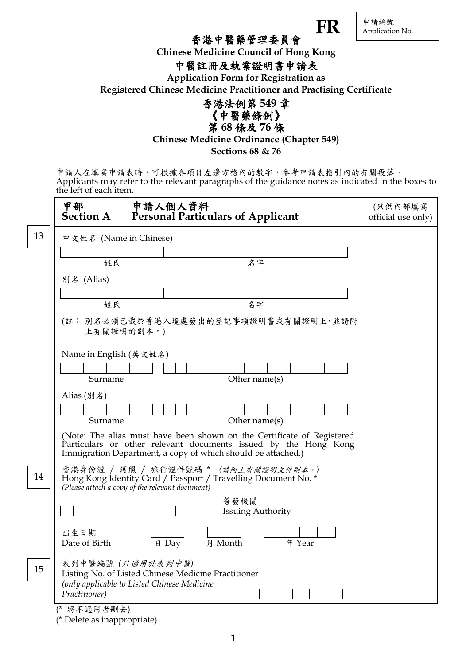| 申請編號<br>Application No. |
|-------------------------|
|                         |

 $\bf FR$ 

# 香港中醫藥管理委員會

**Chinese Medicine Council of Hong Kong**

# 中醫註冊及執業證明書申請表

**Application Form for Registration as Registered Chinese Medicine Practitioner and Practising Certificate**



第 **68** 條及 **76** 條

**Chinese Medicine Ordinance (Chapter 549)**

**Sections 68 & 76**

申請人在填寫申請表時,可根據各項目左邊方格內的數字,參考申請表指引內的有關段落。 Applicants may refer to the relevant paragraphs of the guidance notes as indicated in the boxes to the left of each item.

|    | 甲部<br>申請人個人資料<br>Personal Particulars of Applicant<br><b>Section A</b>                                                                                                                                    | (只供內部填寫<br>official use only) |
|----|-----------------------------------------------------------------------------------------------------------------------------------------------------------------------------------------------------------|-------------------------------|
| 13 | 中文姓名 (Name in Chinese)                                                                                                                                                                                    |                               |
|    | 姓氏<br>名字                                                                                                                                                                                                  |                               |
|    | 別名 (Alias)                                                                                                                                                                                                |                               |
|    | 名字<br>姓氏                                                                                                                                                                                                  |                               |
|    | (註: 別名必須已載於香港入境處發出的登記事項證明書或有關證明上,並請附<br>上有關證明的副本。)                                                                                                                                                        |                               |
|    | Name in English (英文姓名)<br>Other name(s)<br>Surname                                                                                                                                                        |                               |
|    | Alias $(\frac{\pi}{4})$<br>Other name(s)<br>Surname                                                                                                                                                       |                               |
|    | (Note: The alias must have been shown on the Certificate of Registered<br>Particulars or other relevant documents issued by the Hong Kong<br>Immigration Department, a copy of which should be attached.) |                               |
| 14 | 香港身份證 / 護照 / 旅行證件號碼 * (請附上有關證明文件副本。)<br>Hong Kong Identity Card / Passport / Travelling Document No. *<br>(Please attach a copy of the relevant document)                                                 |                               |
|    | 簽發機關<br><b>Issuing Authority</b>                                                                                                                                                                          |                               |
|    | 出生日期<br>Date of Birth<br>日 Day<br>月 Month<br>年 Year                                                                                                                                                       |                               |
| 15 | 表列中醫編號 (只適用於表列中醫)<br>Listing No. of Listed Chinese Medicine Practitioner<br>(only applicable to Listed Chinese Medicine<br>Practitioner)                                                                  |                               |
|    | (* 將不適用者刪去)                                                                                                                                                                                               |                               |

**1**

(\* Delete as inappropriate)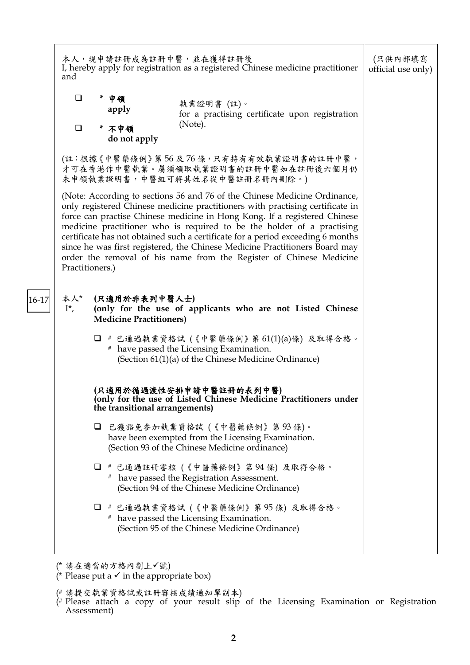|           | and                                                                                                                                                                                                                                                                                                                                                                                                                                                                                                                                                                                                                                                                                                                                                                                                                                                                                                                                                                                                                                                                                                                                         | 本人,現申請註冊成為註冊中醫,並在獲得註冊後<br>I, hereby apply for registration as a registered Chinese medicine practitioner                            |                                                                                                              | (只供內部填寫<br>official use only) |
|-----------|---------------------------------------------------------------------------------------------------------------------------------------------------------------------------------------------------------------------------------------------------------------------------------------------------------------------------------------------------------------------------------------------------------------------------------------------------------------------------------------------------------------------------------------------------------------------------------------------------------------------------------------------------------------------------------------------------------------------------------------------------------------------------------------------------------------------------------------------------------------------------------------------------------------------------------------------------------------------------------------------------------------------------------------------------------------------------------------------------------------------------------------------|-------------------------------------------------------------------------------------------------------------------------------------|--------------------------------------------------------------------------------------------------------------|-------------------------------|
|           | $\Box$<br>$\Box$                                                                                                                                                                                                                                                                                                                                                                                                                                                                                                                                                                                                                                                                                                                                                                                                                                                                                                                                                                                                                                                                                                                            | * 申領<br>apply<br>* 不申領<br>do not apply                                                                                              | 執業證明書 (註)。<br>for a practising certificate upon registration<br>(Note).                                      |                               |
|           |                                                                                                                                                                                                                                                                                                                                                                                                                                                                                                                                                                                                                                                                                                                                                                                                                                                                                                                                                                                                                                                                                                                                             |                                                                                                                                     | (註:根據《中醫藥條例》第56及76條,只有持有有效執業證明書的註冊中醫,<br>才可在香港作中醫執業。屬須領取執業證明書的註冊中醫如在註冊後六個月仍<br>未申領執業證明書,中醫組可將其姓名從中醫註冊名冊內刪除。) |                               |
|           | (Note: According to sections 56 and 76 of the Chinese Medicine Ordinance,<br>only registered Chinese medicine practitioners with practising certificate in<br>force can practise Chinese medicine in Hong Kong. If a registered Chinese<br>medicine practitioner who is required to be the holder of a practising<br>certificate has not obtained such a certificate for a period exceeding 6 months<br>since he was first registered, the Chinese Medicine Practitioners Board may<br>order the removal of his name from the Register of Chinese Medicine<br>Practitioners.)<br>本人*<br>(只適用於非表列中醫人士)<br>(only for the use of applicants who are not Listed Chinese<br>$I^*$ ,<br><b>Medicine Practitioners)</b><br>□ # 已通過執業資格試 (《中醫藥條例》第61(1)(a)條) 及取得合格。<br># have passed the Licensing Examination.<br>(Section 61(1)(a) of the Chinese Medicine Ordinance)<br>(只適用於循過渡性安排申請中醫註冊的表列中醫)<br>(only for the use of Listed Chinese Medicine Practitioners under<br>the transitional arrangements)<br>已獲豁免參加執業資格試 (《中醫藥條例》第93條)。<br>□<br>have been exempted from the Licensing Examination.<br>(Section 93 of the Chinese Medicine ordinance) |                                                                                                                                     |                                                                                                              |                               |
| $ 16-17 $ |                                                                                                                                                                                                                                                                                                                                                                                                                                                                                                                                                                                                                                                                                                                                                                                                                                                                                                                                                                                                                                                                                                                                             |                                                                                                                                     |                                                                                                              |                               |
|           |                                                                                                                                                                                                                                                                                                                                                                                                                                                                                                                                                                                                                                                                                                                                                                                                                                                                                                                                                                                                                                                                                                                                             |                                                                                                                                     |                                                                                                              |                               |
|           |                                                                                                                                                                                                                                                                                                                                                                                                                                                                                                                                                                                                                                                                                                                                                                                                                                                                                                                                                                                                                                                                                                                                             |                                                                                                                                     |                                                                                                              |                               |
|           |                                                                                                                                                                                                                                                                                                                                                                                                                                                                                                                                                                                                                                                                                                                                                                                                                                                                                                                                                                                                                                                                                                                                             |                                                                                                                                     |                                                                                                              |                               |
|           |                                                                                                                                                                                                                                                                                                                                                                                                                                                                                                                                                                                                                                                                                                                                                                                                                                                                                                                                                                                                                                                                                                                                             | # 已通過註冊審核 (《中醫藥條例》第94條) 及取得合格。<br>O<br># have passed the Registration Assessment.<br>(Section 94 of the Chinese Medicine Ordinance) |                                                                                                              |                               |
|           | □ # 已通過執業資格試 (《中醫藥條例》第95條) 及取得合格。<br># have passed the Licensing Examination.<br>(Section 95 of the Chinese Medicine Ordinance)                                                                                                                                                                                                                                                                                                                                                                                                                                                                                                                                                                                                                                                                                                                                                                                                                                                                                                                                                                                                             |                                                                                                                                     |                                                                                                              |                               |
|           |                                                                                                                                                                                                                                                                                                                                                                                                                                                                                                                                                                                                                                                                                                                                                                                                                                                                                                                                                                                                                                                                                                                                             |                                                                                                                                     |                                                                                                              |                               |

(\* 請在適當的方格內劃上√號)

<sup>(\*</sup> Please put a  $\checkmark$  in the appropriate box)

<sup>(#</sup> 請提交執業資格試或註冊審核成績通知單副本)

<sup>(#</sup> Please attach a copy of your result slip of the Licensing Examination or Registration Assessment)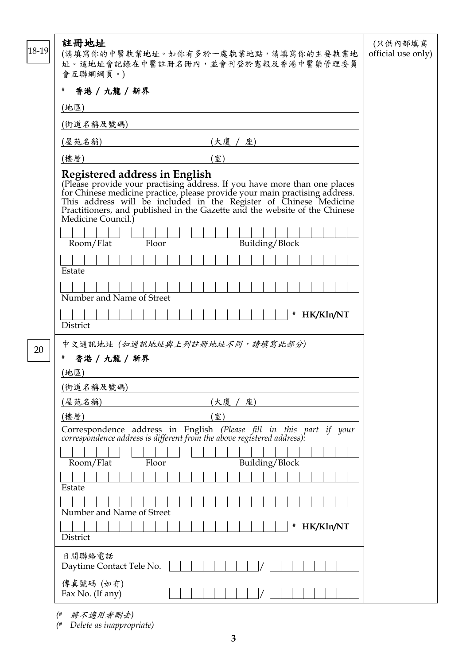| 18-19                                                                                                                                                                                                                                                                                                                      | 註冊地址<br>(請填寫你的中醫執業地址。如你有多於一處執業地點,請填寫你的主要執業地<br>址。這地址會記錄在中醫註冊名冊內,並會刊登於憲報及香港中醫藥管理委員<br>會互聯網網頁。)                                                                                                                                                                                                                                                                                                | (只供內部填寫<br>official use only) |  |
|----------------------------------------------------------------------------------------------------------------------------------------------------------------------------------------------------------------------------------------------------------------------------------------------------------------------------|----------------------------------------------------------------------------------------------------------------------------------------------------------------------------------------------------------------------------------------------------------------------------------------------------------------------------------------------------------------------------------------------|-------------------------------|--|
|                                                                                                                                                                                                                                                                                                                            | 香港 / 九龍 / 新界<br>#                                                                                                                                                                                                                                                                                                                                                                            |                               |  |
|                                                                                                                                                                                                                                                                                                                            | (地區)                                                                                                                                                                                                                                                                                                                                                                                         |                               |  |
|                                                                                                                                                                                                                                                                                                                            | (街道名稱及號碼)                                                                                                                                                                                                                                                                                                                                                                                    |                               |  |
|                                                                                                                                                                                                                                                                                                                            | (屋苑名稱)<br>(大廈 / 座)                                                                                                                                                                                                                                                                                                                                                                           |                               |  |
|                                                                                                                                                                                                                                                                                                                            | (樓層)<br>(室)                                                                                                                                                                                                                                                                                                                                                                                  |                               |  |
|                                                                                                                                                                                                                                                                                                                            | Registered address in English<br>(Please provide your practising address. If you have more than one places<br>for Chinese medicine practice, please provide your main practising address.<br>This address will be included in the Register of Chinese Medicine<br>Practi<br>Medicine Council.)<br>Building/Block<br>Room/Flat<br>Floor<br>Estate<br>Number and Name of Street<br># HK/Kln/NT |                               |  |
|                                                                                                                                                                                                                                                                                                                            | District                                                                                                                                                                                                                                                                                                                                                                                     |                               |  |
| 20                                                                                                                                                                                                                                                                                                                         | 中文通訊地址 (如通訊地址與上列註冊地址不同,請填寫此部分)<br>香港 / 九龍 / 新界<br>#<br>(地區)<br>(街道名稱及號碼)                                                                                                                                                                                                                                                                                                                     |                               |  |
|                                                                                                                                                                                                                                                                                                                            | (屋苑名稱)<br>(大廈 / 座)                                                                                                                                                                                                                                                                                                                                                                           |                               |  |
| (樓層)<br>(室)<br>Correspondence address in English (Please fill in this part if your correspondence address is different from the above registered address):<br>Room/Flat<br>Building/Block<br>Floor<br>Estate<br>Number and Name of Street<br>HK/Kln/NT<br>#<br>District<br>日間聯絡電話<br>Daytime Contact Tele No.<br>傳真號碼 (如有) |                                                                                                                                                                                                                                                                                                                                                                                              |                               |  |
|                                                                                                                                                                                                                                                                                                                            | Fax No. (If any)                                                                                                                                                                                                                                                                                                                                                                             |                               |  |

*(#* 將不適用者刪去*)*

*(# Delete as inappropriate)*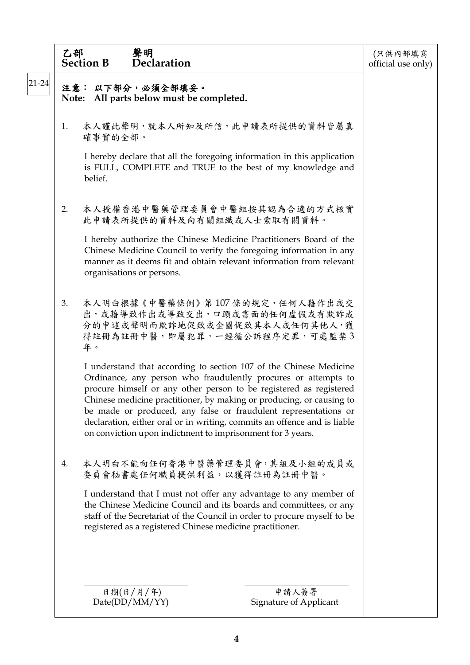|             | 乙部                                                                                                                                            | 聲明<br><b>Section B</b><br>Declaration                                                                                                                                                                                                                                                                                                                                                                                                                                                           | (只供內部填寫<br>official use only) |
|-------------|-----------------------------------------------------------------------------------------------------------------------------------------------|-------------------------------------------------------------------------------------------------------------------------------------------------------------------------------------------------------------------------------------------------------------------------------------------------------------------------------------------------------------------------------------------------------------------------------------------------------------------------------------------------|-------------------------------|
| $ 21 - 24 $ |                                                                                                                                               | 注意: 以下部分,必須全部填妥。<br>Note: All parts below must be completed.                                                                                                                                                                                                                                                                                                                                                                                                                                    |                               |
|             | 1.                                                                                                                                            | 本人謹此聲明,就本人所知及所信,此申請表所提供的資料皆屬真<br>確事實的全部。                                                                                                                                                                                                                                                                                                                                                                                                                                                        |                               |
|             |                                                                                                                                               | I hereby declare that all the foregoing information in this application<br>is FULL, COMPLETE and TRUE to the best of my knowledge and<br>belief.                                                                                                                                                                                                                                                                                                                                                |                               |
|             | 2.                                                                                                                                            | 本人授權香港中醫藥管理委員會中醫組按其認為合適的方式核實<br>此申請表所提供的資料及向有關組織或人士索取有關資料。                                                                                                                                                                                                                                                                                                                                                                                                                                      |                               |
|             |                                                                                                                                               | I hereby authorize the Chinese Medicine Practitioners Board of the<br>Chinese Medicine Council to verify the foregoing information in any<br>manner as it deems fit and obtain relevant information from relevant<br>organisations or persons.                                                                                                                                                                                                                                                  |                               |
|             | 本人明白根據《中醫藥條例》第107條的規定,任何人藉作出或交<br>3.<br>出,或藉導致作出或導致交出,口頭或書面的任何虛假或有欺詐成<br>分的申述或聲明而欺詐地促致或企圖促致其本人或任何其他人,獲<br>得註冊為註冊中醫,即屬犯罪,一經循公訴程序定罪,可處監禁3<br>年。 |                                                                                                                                                                                                                                                                                                                                                                                                                                                                                                 |                               |
|             |                                                                                                                                               | I understand that according to section 107 of the Chinese Medicine<br>Ordinance, any person who fraudulently procures or attempts to<br>procure himself or any other person to be registered as registered<br>Chinese medicine practitioner, by making or producing, or causing to<br>be made or produced, any false or fraudulent representations or<br>declaration, either oral or in writing, commits an offence and is liable<br>on conviction upon indictment to imprisonment for 3 years. |                               |
|             | 4.                                                                                                                                            | 本人明白不能向任何香港中醫藥管理委員會,其組及小組的成員或<br>委員會秘書處任何職員提供利益,以獲得註冊為註冊中醫。                                                                                                                                                                                                                                                                                                                                                                                                                                     |                               |
|             |                                                                                                                                               | I understand that I must not offer any advantage to any member of<br>the Chinese Medicine Council and its boards and committees, or any<br>staff of the Secretariat of the Council in order to procure myself to be<br>registered as a registered Chinese medicine practitioner.                                                                                                                                                                                                                |                               |
|             |                                                                                                                                               | 申請人簽署<br>日期(日/月/年)<br>Signature of Applicant<br>Date(DD/MM/YY)                                                                                                                                                                                                                                                                                                                                                                                                                                  |                               |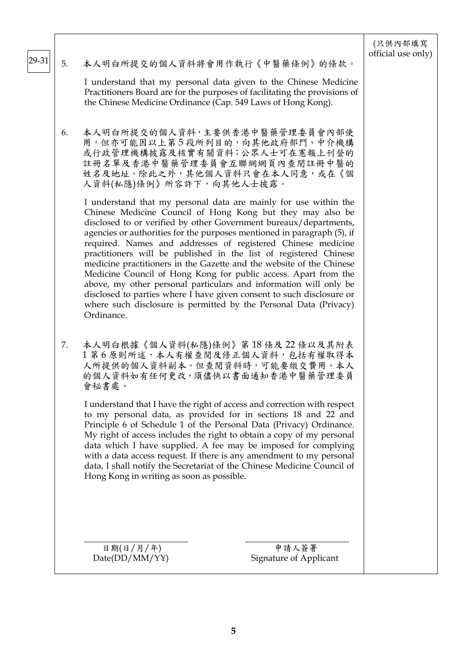|       |    |                                                                                                                                                                                                                                                                                                                                                                                                                                                                                                                                                                                                                                                                                                                                                                                                 | (只供內部填寫<br>official use only) |  |
|-------|----|-------------------------------------------------------------------------------------------------------------------------------------------------------------------------------------------------------------------------------------------------------------------------------------------------------------------------------------------------------------------------------------------------------------------------------------------------------------------------------------------------------------------------------------------------------------------------------------------------------------------------------------------------------------------------------------------------------------------------------------------------------------------------------------------------|-------------------------------|--|
| 29-31 | 5. | 本人明白所提交的個人資料將會用作執行《中醫藥條例》的條款。                                                                                                                                                                                                                                                                                                                                                                                                                                                                                                                                                                                                                                                                                                                                                                   |                               |  |
|       |    | I understand that my personal data given to the Chinese Medicine<br>Practitioners Board are for the purposes of facilitating the provisions of<br>the Chinese Medicine Ordinance (Cap. 549 Laws of Hong Kong).                                                                                                                                                                                                                                                                                                                                                                                                                                                                                                                                                                                  |                               |  |
|       | 6. | 本人明白所提交的個人資料,主要供香港中醫藥管理委員會內部使<br>用,但亦可能因以上第5段所列目的,向其他政府部門、中介機構<br>或行政管理機構披露及核實有關資料;公眾人士可在憲報上刊登的<br>註冊名單及香港中醫藥管理委員會互聯網網頁內查閱註冊中醫的<br>姓名及地址。除此之外,其他個人資料只會在本人同意,或在《個<br>人資料(私隱)條例》所容許下,向其他人士披露。                                                                                                                                                                                                                                                                                                                                                                                                                                                                                                                                                                                                     |                               |  |
|       |    | I understand that my personal data are mainly for use within the<br>Chinese Medicine Council of Hong Kong but they may also be<br>disclosed to or verified by other Government bureaux/departments,<br>agencies or authorities for the purposes mentioned in paragraph (5), if<br>required. Names and addresses of registered Chinese medicine<br>practitioners will be published in the list of registered Chinese<br>medicine practitioners in the Gazette and the website of the Chinese<br>Medicine Council of Hong Kong for public access. Apart from the<br>above, my other personal particulars and information will only be<br>disclosed to parties where I have given consent to such disclosure or<br>where such disclosure is permitted by the Personal Data (Privacy)<br>Ordinance. |                               |  |
|       | 7. | 本人明白根據《個人資料(私隱)條例》第18條及22條以及其附表<br>1 第6 原則所述,本人有權查閱及修正個人資料,包括有權取得本<br>人所提供的個人資料副本。但查閱資料時,可能要繳交費用。本人<br>的個人資料如有任何更改,須儘快以書面通知香港中醫藥管理委員<br>會秘書處。<br>I understand that I have the right of access and correction with respect<br>to my personal data, as provided for in sections 18 and 22 and<br>Principle 6 of Schedule 1 of the Personal Data (Privacy) Ordinance.<br>My right of access includes the right to obtain a copy of my personal<br>data which I have supplied. A fee may be imposed for complying<br>with a data access request. If there is any amendment to my personal<br>data, I shall notify the Secretariat of the Chinese Medicine Council of<br>Hong Kong in writing as soon as possible.                                                                                   |                               |  |
|       |    | 日期(日/月/年)<br>申請人簽署<br>Date(DD/MM/YY)<br>Signature of Applicant                                                                                                                                                                                                                                                                                                                                                                                                                                                                                                                                                                                                                                                                                                                                  |                               |  |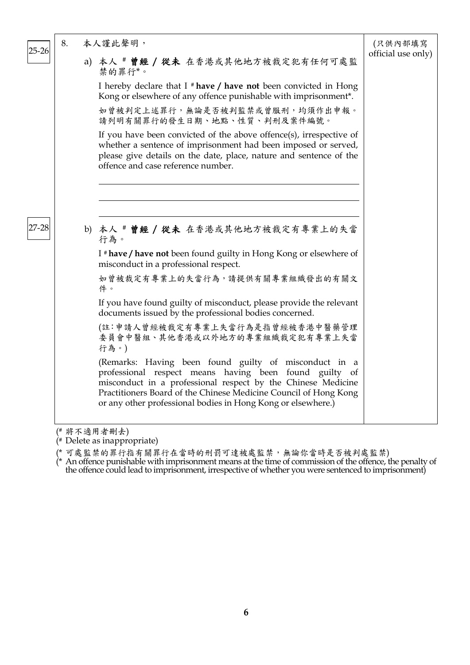| $25 - 26$ | 8. | 本人謹此聲明,                                                                                                                                                                                                                                                                                                             | (只供內部填寫            |
|-----------|----|---------------------------------------------------------------------------------------------------------------------------------------------------------------------------------------------------------------------------------------------------------------------------------------------------------------------|--------------------|
|           |    | a) 本人 # 曾經 / 從未 在香港或其他地方被裁定犯有任何可處監<br>禁的罪行*。                                                                                                                                                                                                                                                                        | official use only) |
|           |    | I hereby declare that I $*$ have / have not been convicted in Hong<br>Kong or elsewhere of any offence punishable with imprisonment*.                                                                                                                                                                               |                    |
|           |    | 如曾被判定上述罪行,無論是否被判監禁或曾服刑,均須作出申報。<br>請列明有關罪行的發生日期、地點、性質、判刑及案件編號。                                                                                                                                                                                                                                                       |                    |
|           |    | If you have been convicted of the above offence(s), irrespective of<br>whether a sentence of imprisonment had been imposed or served,<br>please give details on the date, place, nature and sentence of the<br>offence and case reference number.                                                                   |                    |
|           |    |                                                                                                                                                                                                                                                                                                                     |                    |
| $27 - 28$ |    | b) 本人 # 曾經 / 從未 在香港或其他地方被裁定有專業上的失當<br>行為。                                                                                                                                                                                                                                                                           |                    |
|           |    | I # have / have not been found guilty in Hong Kong or elsewhere of<br>misconduct in a professional respect.                                                                                                                                                                                                         |                    |
|           |    | 如曾被裁定有專業上的失當行為,請提供有關專業組織發出的有關文<br>件。                                                                                                                                                                                                                                                                                |                    |
|           |    | If you have found guilty of misconduct, please provide the relevant<br>documents issued by the professional bodies concerned.                                                                                                                                                                                       |                    |
|           |    | (註:申請人曾經被裁定有專業上失當行為是指曾經被香港中醫藥管理<br>委員會中醫組、其他香港或以外地方的專業組織裁定犯有專業上失當<br>行為。)                                                                                                                                                                                                                                           |                    |
|           |    | (Remarks: Having been found guilty of misconduct in a<br>professional respect means having been found guilty of<br>misconduct in a professional respect by the Chinese Medicine<br>Practitioners Board of the Chinese Medicine Council of Hong Kong<br>or any other professional bodies in Hong Kong or elsewhere.) |                    |
|           |    | /# 14 イ 泣 口 セ m l レ \                                                                                                                                                                                                                                                                                               |                    |

<sup>(#</sup> 將不適用者刪去)

(\* 可處監禁的罪行指有關罪行在當時的刑罰可達被處監禁,無論你當時是否被判處監禁)

(\* An offence punishable with imprisonment means at the time of commission of the offence, the penalty of the offence could lead to imprisonment, irrespective of whether you were sentenced to imprisonment)

<sup>(#</sup> Delete as inappropriate)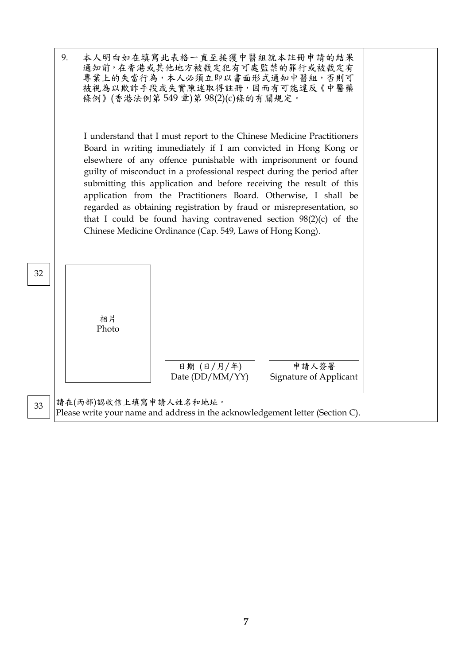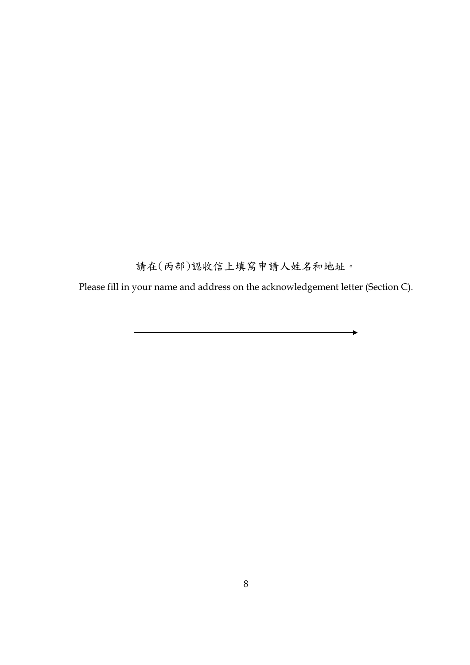請在(丙部)認收信上填寫申請人姓名和地址。

Please fill in your name and address on the acknowledgement letter (Section C).